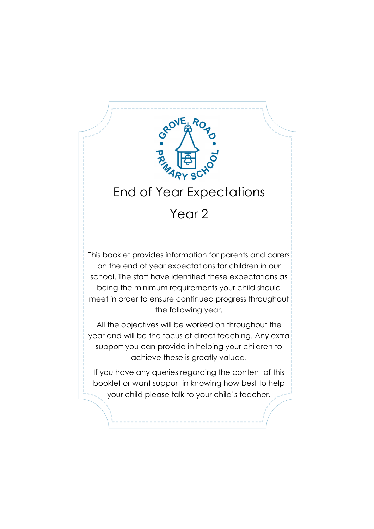

support you can provide in helping your children to achieve these is greatly valued.

If you have any queries regarding the content of this booklet or want support in knowing how best to help your child please talk to your child's teacher.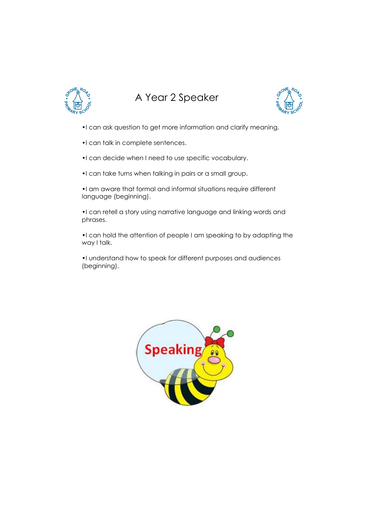

## A Year 2 Speaker



- •I can ask question to get more information and clarify meaning.
- •I can talk in complete sentences.
- •I can decide when I need to use specific vocabulary.
- •I can take turns when talking in pairs or a small group.
- •I am aware that formal and informal situations require different language (beginning).
- •I can retell a story using narrative language and linking words and phrases.
- •I can hold the attention of people I am speaking to by adapting the way I talk.
- •I understand how to speak for different purposes and audiences (beginning).

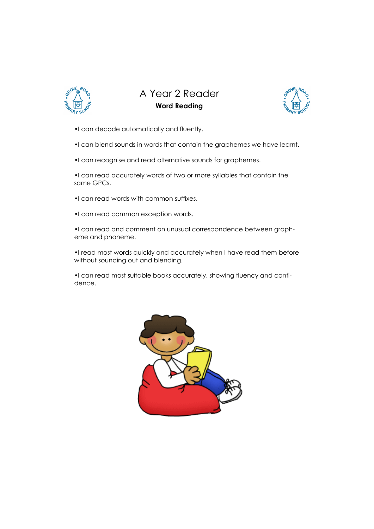

### A Year 2 Reader Word Reading



- •I can decode automatically and fluently.
- •I can blend sounds in words that contain the graphemes we have learnt.
- •I can recognise and read alternative sounds for graphemes.

•I can read accurately words of two or more syllables that contain the same GPCs.

- •I can read words with common suffixes.
- •I can read common exception words.

•I can read and comment on unusual correspondence between grapheme and phoneme.

•I read most words quickly and accurately when I have read them before without sounding out and blending.

•I can read most suitable books accurately, showing fluency and confidence.

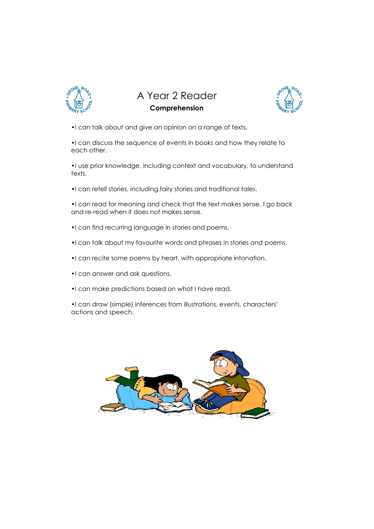

A Year 2 Reader Comprehension



•I can talk about and give an opinion on a range of texts.

•I can discuss the sequence of events in books and how they relate to each other.

•I use prior knowledge, including context and vocabulary, to understand texts.

•I can retell stories, including fairy stories and traditional tales.

•I can read for meaning and check that the text makes sense. I go back and re-read when it does not makes sense.

- •I can find recurring language in stories and poems.
- •I can talk about my favourite words and phrases in stories and poems.
- •I can recite some poems by heart, with appropriate intonation.
- •I can answer and ask questions.
- •I can make predictions based on what I have read.
- •I can draw (simple) inferences from illustrations, events, characters' actions and speech.

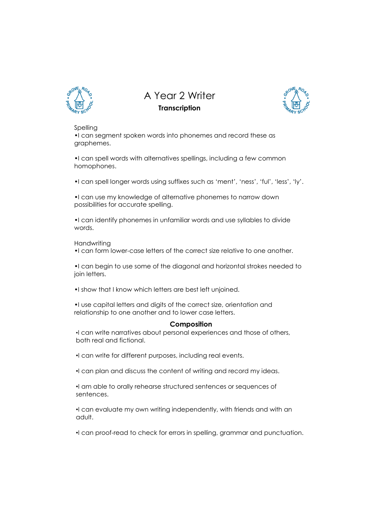

A Year 2 Writer **Transcription** 



#### Spelling

•I can segment spoken words into phonemes and record these as graphemes.

•I can spell words with alternatives spellings, including a few common homophones.

•I can spell longer words using suffixes such as 'ment', 'ness', 'ful', 'less', 'ly'.

•I can use my knowledge of alternative phonemes to narrow down possibilities for accurate spelling.

•I can identify phonemes in unfamiliar words and use syllables to divide words.

#### **Handwriting**

•I can form lower-case letters of the correct size relative to one another.

•I can begin to use some of the diagonal and horizontal strokes needed to join letters.

•I show that I know which letters are best left unjoined.

•I use capital letters and digits of the correct size, orientation and relationship to one another and to lower case letters.

#### Composition

I can write narratives about personal experiences and those of others, both real and fictional.

I can write for different purposes, including real events.

 $\cdot$ I can plan and discuss the content of writing and record my ideas.

I am able to orally rehearse structured sentences or sequences of sentences.

I can evaluate my own writing independently, with friends and with an adult.

I can proof-read to check for errors in spelling, grammar and punctuation.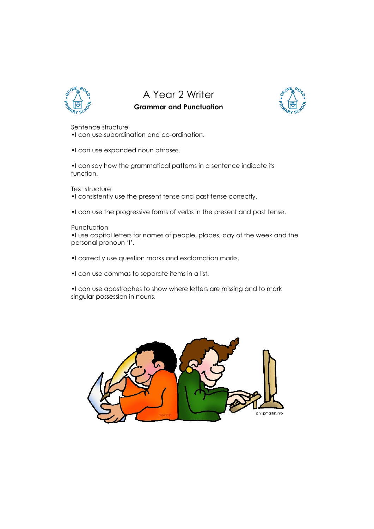

A Year 2 Writer

### Grammar and Punctuation



Sentence structure

•I can use subordination and co-ordination.

•I can use expanded noun phrases.

•I can say how the grammatical patterns in a sentence indicate its function.

Text structure

- •I consistently use the present tense and past tense correctly.
- •I can use the progressive forms of verbs in the present and past tense.

#### **Punctuation**

•I use capital letters for names of people, places, day of the week and the personal pronoun 'I'.

- •I correctly use question marks and exclamation marks.
- •I can use commas to separate items in a list.
- •I can use apostrophes to show where letters are missing and to mark singular possession in nouns.

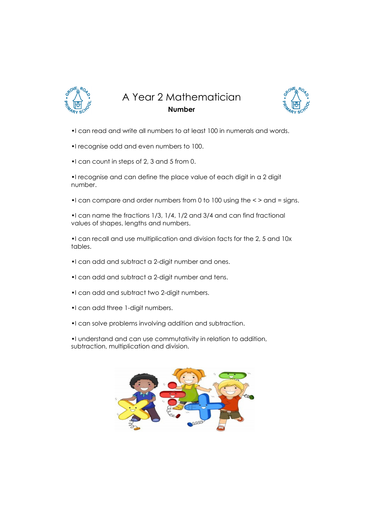

A Year 2 Mathematician Number



- •I can read and write all numbers to at least 100 in numerals and words.
- •I recognise odd and even numbers to 100.
- •I can count in steps of 2, 3 and 5 from 0.

•I recognise and can define the place value of each digit in a 2 digit number.

•I can compare and order numbers from 0 to 100 using the < > and = signs.

•I can name the fractions 1/3, 1/4, 1/2 and 3/4 and can find fractional values of shapes, lengths and numbers.

•I can recall and use multiplication and division facts for the 2, 5 and 10x tables.

- •I can add and subtract a 2-digit number and ones.
- •I can add and subtract a 2-digit number and tens.
- •I can add and subtract two 2-digit numbers.
- •I can add three 1-digit numbers.
- •I can solve problems involving addition and subtraction.

•I understand and can use commutativity in relation to addition, subtraction, multiplication and division.